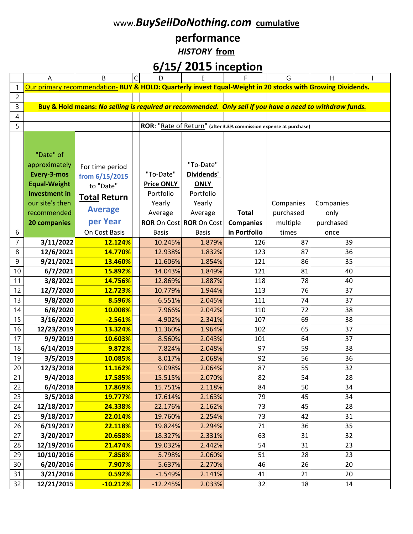#### www.*BuySellDoNothing.com* **cumulative**

# **performance**

*HISTORY* **from**

## **6/15/ 2015 inception**

|                 | A                    | B                                                                                                          | D                                     | E            | F                                                                 | G         | H         |  |
|-----------------|----------------------|------------------------------------------------------------------------------------------------------------|---------------------------------------|--------------|-------------------------------------------------------------------|-----------|-----------|--|
| $\mathbf 1$     |                      | Our primary recommendation- BUY & HOLD: Quarterly invest Equal-Weight in 20 stocks with Growing Dividends. |                                       |              |                                                                   |           |           |  |
| $\overline{c}$  |                      |                                                                                                            |                                       |              |                                                                   |           |           |  |
| 3               |                      | Buy & Hold means: No selling is required or recommended. Only sell if you have a need to withdraw funds.   |                                       |              |                                                                   |           |           |  |
| 4               |                      |                                                                                                            |                                       |              |                                                                   |           |           |  |
| 5               |                      |                                                                                                            |                                       |              | ROR: "Rate of Return" (after 3.3% commission expense at purchase) |           |           |  |
|                 |                      |                                                                                                            |                                       |              |                                                                   |           |           |  |
|                 |                      |                                                                                                            |                                       |              |                                                                   |           |           |  |
|                 | "Date" of            |                                                                                                            |                                       |              |                                                                   |           |           |  |
|                 | approximately        | For time period                                                                                            |                                       | "To-Date"    |                                                                   |           |           |  |
|                 | Every-3-mos          | from 6/15/2015                                                                                             | "To-Date"                             | Dividends'   |                                                                   |           |           |  |
|                 | <b>Equal-Weight</b>  | to "Date"                                                                                                  | <b>Price ONLY</b>                     | <b>ONLY</b>  |                                                                   |           |           |  |
|                 | <b>Investment in</b> | <b>Total Return</b>                                                                                        | Portfolio                             | Portfolio    |                                                                   |           |           |  |
|                 | our site's then      |                                                                                                            | Yearly                                | Yearly       |                                                                   | Companies | Companies |  |
|                 | recommended          | <b>Average</b>                                                                                             | Average                               | Average      | <b>Total</b>                                                      | purchased | only      |  |
|                 | 20 companies         | per Year                                                                                                   | <b>ROR</b> On Cost <b>ROR</b> On Cost |              | <b>Companies</b>                                                  | multiple  | purchased |  |
| 6               |                      | On Cost Basis                                                                                              | <b>Basis</b>                          | <b>Basis</b> | in Portfolio                                                      | times     | once      |  |
| $\overline{7}$  | 3/11/2022            | 12.124%                                                                                                    | 10.245%                               | 1.879%       | 126                                                               | 87        | 39        |  |
| 8               | 12/6/2021            | 14.770%                                                                                                    | 12.938%                               | 1.832%       | 123                                                               | 87        | 36        |  |
| 9               | 9/21/2021            | 13.460%                                                                                                    | 11.606%                               | 1.854%       | 121                                                               | 86        | 35        |  |
| 10              | 6/7/2021             | 15.892%                                                                                                    | 14.043%                               | 1.849%       | 121                                                               | 81        | 40        |  |
| 11              | 3/8/2021             | 14.756%                                                                                                    | 12.869%                               | 1.887%       | 118                                                               | 78        | 40        |  |
| 12              | 12/7/2020            | 12.723%                                                                                                    | 10.779%                               | 1.944%       | 113                                                               | 76        | 37        |  |
| 13              | 9/8/2020             | 8.596%                                                                                                     | 6.551%                                | 2.045%       | 111                                                               | 74        | 37        |  |
| 14              | 6/8/2020             | 10.008%                                                                                                    | 7.966%                                | 2.042%       | 110                                                               | 72        | 38        |  |
| 15              | 3/16/2020            | $-2.561%$                                                                                                  | $-4.902%$                             | 2.341%       | 107                                                               | 69        | 38        |  |
| 16              | 12/23/2019           | 13.324%                                                                                                    | 11.360%                               | 1.964%       | 102                                                               | 65        | 37        |  |
| 17              | 9/9/2019             | 10.603%                                                                                                    | 8.560%                                | 2.043%       | 101                                                               | 64        | 37        |  |
| 18              | 6/14/2019            | 9.872%                                                                                                     | 7.824%                                | 2.048%       | 97                                                                | 59        | 38        |  |
| 19              | 3/5/2019             | 10.085%                                                                                                    | 8.017%                                | 2.068%       | 92                                                                | 56        | 36        |  |
| 20              | 12/3/2018            | 11.162%                                                                                                    | 9.098%                                | 2.064%       | 87                                                                | 55        | 32        |  |
| 21              | 9/4/2018             | <u>17.585%</u>                                                                                             | 15.515%                               | 2.070%       | 82                                                                | 54        | 28        |  |
| 22              | 6/4/2018             | 17.869%                                                                                                    | 15.751%                               | 2.118%       | 84                                                                | 50        | 34        |  |
| 23              | 3/5/2018             | 19.777%                                                                                                    | 17.614%                               | 2.163%       | 79                                                                | 45        | 34        |  |
| 24              | 12/18/2017           | 24.338%                                                                                                    | 22.176%                               | 2.162%       | 73                                                                | 45        | 28        |  |
| 25              | 9/18/2017            | 22.014%                                                                                                    | 19.760%                               | 2.254%       | 73                                                                | 42        | 31        |  |
| 26              | 6/19/2017            | 22.118%                                                                                                    | 19.824%                               | 2.294%       | 71                                                                | 36        | 35        |  |
| $\overline{27}$ | 3/20/2017            | 20.658%                                                                                                    | 18.327%                               | 2.331%       | 63                                                                | 31        | 32        |  |
| 28              | 12/19/2016           | 21.474%                                                                                                    | 19.032%                               | 2.442%       | 54                                                                | 31        | 23        |  |
| 29              | 10/10/2016           | 7.858%                                                                                                     | 5.798%                                | 2.060%       | 51                                                                | 28        | 23        |  |
| 30              | 6/20/2016            | 7.907%                                                                                                     | 5.637%                                | 2.270%       | 46                                                                | 26        | 20        |  |
| $\overline{31}$ | 3/21/2016            | 0.592%                                                                                                     | $-1.549%$                             | 2.141%       | 41                                                                | 21        | 20        |  |
| $\overline{32}$ | 12/21/2015           | $-10.212%$                                                                                                 | $-12.245%$                            | 2.033%       | 32                                                                | 18        | 14        |  |